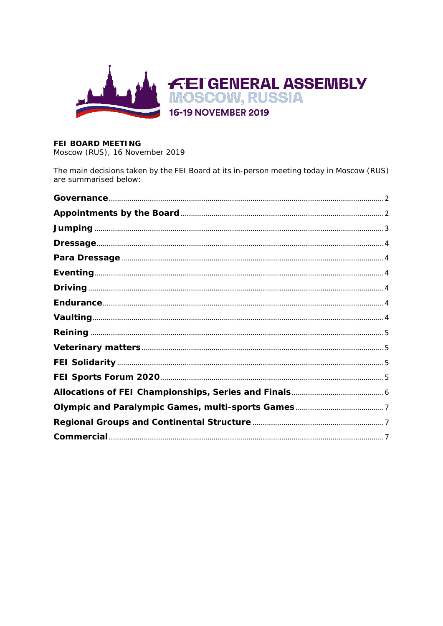

# FEI BOARD MEETING

Moscow (RUS), 16 November 2019

The main decisions taken by the FEI Board at its in-person meeting today in Moscow (RUS) are summarised below: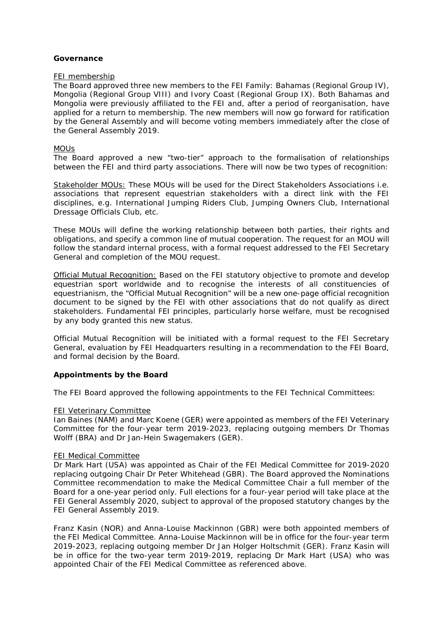## <span id="page-1-0"></span>**Governance**

#### FEI membership

The Board approved three new members to the FEI Family: Bahamas (Regional Group IV), Mongolia (Regional Group VIII) and Ivory Coast (Regional Group IX). Both Bahamas and Mongolia were previously affiliated to the FEI and, after a period of reorganisation, have applied for a return to membership. The new members will now go forward for ratification by the General Assembly and will become voting members immediately after the close of the General Assembly 2019.

## MOUs

The Board approved a new "two-tier" approach to the formalisation of relationships between the FEI and third party associations. There will now be two types of recognition:

Stakeholder MOUs: These MOUs will be used for the Direct Stakeholders Associations i.e. associations that represent equestrian stakeholders with a direct link with the FEI disciplines, e.g. International Jumping Riders Club, Jumping Owners Club, International Dressage Officials Club, etc.

These MOUs will define the working relationship between both parties, their rights and obligations, and specify a common line of mutual cooperation. The request for an MOU will follow the standard internal process, with a formal request addressed to the FEI Secretary General and completion of the MOU request.

Official Mutual Recognition: Based on the FEI statutory objective to promote and develop equestrian sport worldwide and to recognise the interests of all constituencies of equestrianism, the "Official Mutual Recognition" will be a new one-page official recognition document to be signed by the FEI with other associations that do not qualify as direct stakeholders. Fundamental FEI principles, particularly horse welfare, must be recognised by any body granted this new status.

Official Mutual Recognition will be initiated with a formal request to the FEI Secretary General, evaluation by FEI Headquarters resulting in a recommendation to the FEI Board, and formal decision by the Board.

## <span id="page-1-1"></span>**Appointments by the Board**

The FEI Board approved the following appointments to the FEI Technical Committees:

#### FEI Veterinary Committee

Ian Baines (NAM) and Marc Koene (GER) were appointed as members of the FEI Veterinary Committee for the four-year term 2019-2023, replacing outgoing members Dr Thomas Wolff (BRA) and Dr Jan-Hein Swagemakers (GER).

#### FEI Medical Committee

Dr Mark Hart (USA) was appointed as Chair of the FEI Medical Committee for 2019-2020 replacing outgoing Chair Dr Peter Whitehead (GBR). The Board approved the Nominations Committee recommendation to make the Medical Committee Chair a full member of the Board for a one-year period only. Full elections for a four-year period will take place at the FEI General Assembly 2020, subject to approval of the proposed statutory changes by the FEI General Assembly 2019.

Franz Kasin (NOR) and Anna-Louise Mackinnon (GBR) were both appointed members of the FEI Medical Committee. Anna-Louise Mackinnon will be in office for the four-year term 2019-2023, replacing outgoing member Dr Jan Holger Holtschmit (GER). Franz Kasin will be in office for the two-year term 2019-2019, replacing Dr Mark Hart (USA) who was appointed Chair of the FEI Medical Committee as referenced above.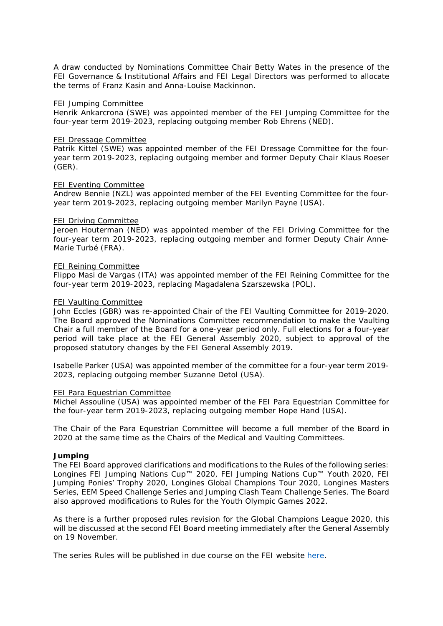A draw conducted by Nominations Committee Chair Betty Wates in the presence of the FEI Governance & Institutional Affairs and FEI Legal Directors was performed to allocate the terms of Franz Kasin and Anna-Louise Mackinnon.

#### FEI Jumping Committee

Henrik Ankarcrona (SWE) was appointed member of the FEI Jumping Committee for the four-year term 2019-2023, replacing outgoing member Rob Ehrens (NED).

#### FEI Dressage Committee

Patrik Kittel (SWE) was appointed member of the FEI Dressage Committee for the fouryear term 2019-2023, replacing outgoing member and former Deputy Chair Klaus Roeser (GER).

#### FEI Eventing Committee

Andrew Bennie (NZL) was appointed member of the FEI Eventing Committee for the fouryear term 2019-2023, replacing outgoing member Marilyn Payne (USA).

#### FEI Driving Committee

Jeroen Houterman (NED) was appointed member of the FEI Driving Committee for the four-year term 2019-2023, replacing outgoing member and former Deputy Chair Anne-Marie Turbé (FRA).

#### FEI Reining Committee

Flippo Masi de Vargas (ITA) was appointed member of the FEI Reining Committee for the four-year term 2019-2023, replacing Magadalena Szarszewska (POL).

#### FEI Vaulting Committee

John Eccles (GBR) was re-appointed Chair of the FEI Vaulting Committee for 2019-2020. The Board approved the Nominations Committee recommendation to make the Vaulting Chair a full member of the Board for a one-year period only. Full elections for a four-year period will take place at the FEI General Assembly 2020, subject to approval of the proposed statutory changes by the FEI General Assembly 2019.

Isabelle Parker (USA) was appointed member of the committee for a four-year term 2019- 2023, replacing outgoing member Suzanne Detol (USA).

#### FEI Para Equestrian Committee

Michel Assouline (USA) was appointed member of the FEI Para Equestrian Committee for the four-year term 2019-2023, replacing outgoing member Hope Hand (USA).

The Chair of the Para Equestrian Committee will become a full member of the Board in 2020 at the same time as the Chairs of the Medical and Vaulting Committees.

#### <span id="page-2-0"></span>**Jumping**

The FEI Board approved clarifications and modifications to the Rules of the following series: Longines FEI Jumping Nations Cup™ 2020, FEI Jumping Nations Cup™ Youth 2020, FEI Jumping Ponies' Trophy 2020, Longines Global Champions Tour 2020, Longines Masters Series, EEM Speed Challenge Series and Jumping Clash Team Challenge Series. The Board also approved modifications to Rules for the Youth Olympic Games 2022.

As there is a further proposed rules revision for the Global Champions League 2020, this will be discussed at the second FEI Board meeting immediately after the General Assembly on 19 November.

The series Rules will be published in due course on the FEI website [here.](https://inside.fei.org/fei/disc/jumping/rules)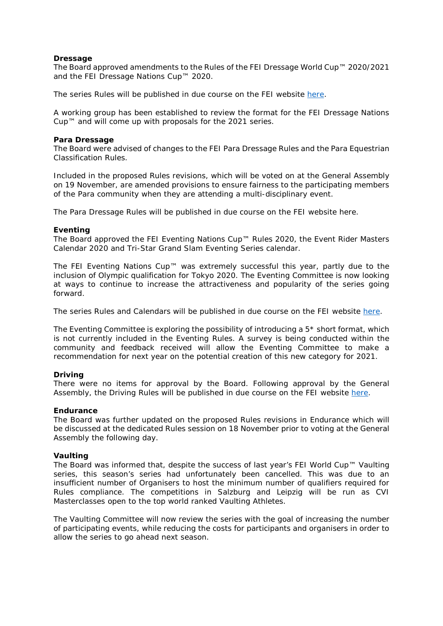## <span id="page-3-0"></span>**Dressage**

The Board approved amendments to the Rules of the FEI Dressage World Cup™ 2020/2021 and the FEI Dressage Nations Cup™ 2020.

The series Rules will be published in due course on the FEI website [here.](https://inside.fei.org/node/3821/)

A working group has been established to review the format for the FEI Dressage Nations Cup™ and will come up with proposals for the 2021 series.

#### <span id="page-3-1"></span>**Para Dressage**

The Board were advised of changes to the FEI Para Dressage Rules and the Para Equestrian Classification Rules.

Included in the proposed Rules revisions, which will be voted on at the General Assembly on 19 November, are amended provisions to ensure fairness to the participating members of the Para community when they are attending a multi-disciplinary event.

The Para Dressage Rules will be published in due course on the FEI website [here.](https://inside.fei.org/fei/disc/para-dressage/rules)

## <span id="page-3-2"></span>**Eventing**

The Board approved the FEI Eventing Nations Cup™ Rules 2020, the Event Rider Masters Calendar 2020 and Tri-Star Grand Slam Eventing Series calendar.

The FEI Eventing Nations Cup™ was extremely successful this year, partly due to the inclusion of Olympic qualification for Tokyo 2020. The Eventing Committee is now looking at ways to continue to increase the attractiveness and popularity of the series going forward.

The series Rules and Calendars will be published in due course on the FEI website [here.](https://inside.fei.org/content/other-rules)

The Eventing Committee is exploring the possibility of introducing a 5\* short format, which is not currently included in the Eventing Rules. A survey is being conducted within the community and feedback received will allow the Eventing Committee to make a recommendation for next year on the potential creation of this new category for 2021.

#### <span id="page-3-3"></span>**Driving**

There were no items for approval by the Board. Following approval by the General Assembly, the Driving Rules will be published in due course on the FEI website [here.](https://inside.fei.org/node/3834/)

#### <span id="page-3-4"></span>**Endurance**

The Board was further updated on the proposed Rules revisions in Endurance which will be discussed at the dedicated Rules session on 18 November prior to voting at the General Assembly the following day.

#### <span id="page-3-5"></span>**Vaulting**

The Board was informed that, despite the success of last year's FEI World Cup™ Vaulting series, this season's series had unfortunately been cancelled. This was due to an insufficient number of Organisers to host the minimum number of qualifiers required for Rules compliance. The competitions in Salzburg and Leipzig will be run as CVI Masterclasses open to the top world ranked Vaulting Athletes.

The Vaulting Committee will now review the series with the goal of increasing the number of participating events, while reducing the costs for participants and organisers in order to allow the series to go ahead next season.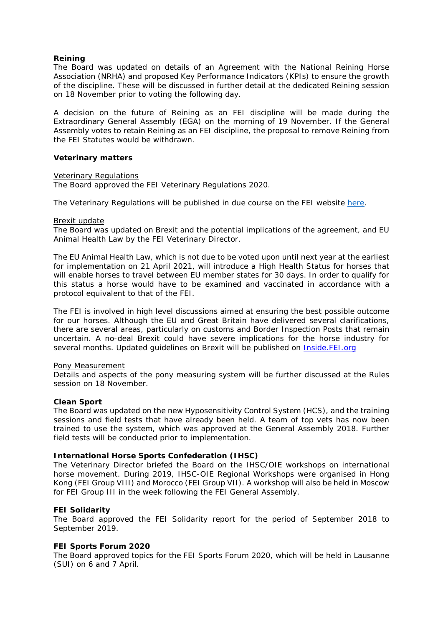## <span id="page-4-0"></span>**Reining**

The Board was updated on details of an Agreement with the National Reining Horse Association (NRHA) and proposed Key Performance Indicators (KPIs) to ensure the growth of the discipline. These will be discussed in further detail at the dedicated Reining session on 18 November prior to voting the following day.

A decision on the future of Reining as an FEI discipline will be made during the Extraordinary General Assembly (EGA) on the morning of 19 November. If the General Assembly votes to retain Reining as an FEI discipline, the proposal to remove Reining from the FEI Statutes would be withdrawn.

#### <span id="page-4-1"></span>**Veterinary matters**

#### Veterinary Regulations

The Board approved the FEI Veterinary Regulations 2020.

The Veterinary Regulations will be published in due course on the FEI website [here.](https://inside.fei.org/fei/regulations/veterinary)

#### Brexit update

The Board was updated on Brexit and the potential implications of the agreement, and EU Animal Health Law by the FEI Veterinary Director.

The EU Animal Health Law, which is not due to be voted upon until next year at the earliest for implementation on 21 April 2021, will introduce a High Health Status for horses that will enable horses to travel between EU member states for 30 days. In order to qualify for this status a horse would have to be examined and vaccinated in accordance with a protocol equivalent to that of the FEI.

The FEI is involved in high level discussions aimed at ensuring the best possible outcome for our horses. Although the EU and Great Britain have delivered several clarifications, there are several areas, particularly on customs and Border Inspection Posts that remain uncertain. A no-deal Brexit could have severe implications for the horse industry for several months. Updated guidelines on Brexit will be published on Inside.FEI.org

#### Pony Measurement

Details and aspects of the pony measuring system will be further discussed at the Rules session on 18 November.

#### **Clean Sport**

The Board was updated on the new Hyposensitivity Control System (HCS), and the training sessions and field tests that have already been held. A team of top vets has now been trained to use the system, which was approved at the General Assembly 2018. Further field tests will be conducted prior to implementation.

#### **International Horse Sports Confederation (IHSC)**

The Veterinary Director briefed the Board on the IHSC/OIE workshops on international horse movement. During 2019, IHSC-OIE Regional Workshops were organised in Hong Kong (FEI Group VIII) and Morocco (FEI Group VII). A workshop will also be held in Moscow for FEI Group III in the week following the FEI General Assembly.

#### <span id="page-4-2"></span>**FEI Solidarity**

The Board approved the FEI Solidarity report for the period of September 2018 to September 2019.

#### <span id="page-4-3"></span>**FEI Sports Forum 2020**

The Board approved topics for the FEI Sports Forum 2020, which will be held in Lausanne (SUI) on 6 and 7 April.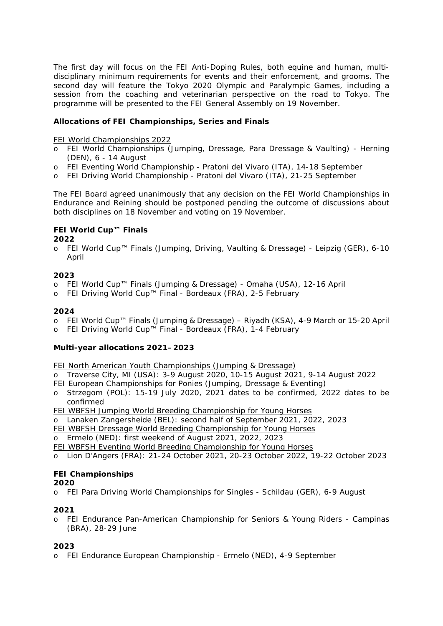The first day will focus on the FEI Anti-Doping Rules, both equine and human, multidisciplinary minimum requirements for events and their enforcement, and grooms. The second day will feature the Tokyo 2020 Olympic and Paralympic Games, including a session from the coaching and veterinarian perspective on the road to Tokyo. The programme will be presented to the FEI General Assembly on 19 November.

# <span id="page-5-0"></span>**Allocations of FEI Championships, Series and Finals**

FEI World Championships 2022

- o FEI World Championships (Jumping, Dressage, Para Dressage & Vaulting) Herning (DEN), 6 - 14 August
- o FEI Eventing World Championship Pratoni del Vivaro (ITA), 14-18 September
- o FEI Driving World Championship Pratoni del Vivaro (ITA), 21-25 September

The FEI Board agreed unanimously that any decision on the FEI World Championships in Endurance and Reining should be postponed pending the outcome of discussions about both disciplines on 18 November and voting on 19 November.

# **FEI World Cup™ Finals**

**2022**

o FEI World Cup™ Finals (Jumping, Driving, Vaulting & Dressage) - Leipzig (GER), 6-10 April

## **2023**

- o FEI World Cup™ Finals (Jumping & Dressage) Omaha (USA), 12-16 April
- o FEI Driving World Cup™ Final Bordeaux (FRA), 2-5 February

## **2024**

- o FEI World Cup™ Finals (Jumping & Dressage) Riyadh (KSA), 4-9 March or 15-20 April
- o FEI Driving World Cup™ Final Bordeaux (FRA), 1-4 February

# **Multi-year allocations 2021–2023**

FEI North American Youth Championships (Jumping & Dressage)

- o Traverse City, MI (USA): 3-9 August 2020, 10-15 August 2021, 9-14 August 2022
- FEI European Championships for Ponies (Jumping, Dressage & Eventing)
- o Strzegom (POL): 15-19 July 2020, 2021 dates to be confirmed, 2022 dates to be confirmed
- FEI WBFSH Jumping World Breeding Championship for Young Horses
- o Lanaken Zangersheide (BEL): second half of September 2021, 2022, 2023
- FEI WBFSH Dressage World Breeding Championship for Young Horses

Ermelo (NED): first weekend of August 2021, 2022, 2023

FEI WBFSH Eventing World Breeding Championship for Young Horses

o Lion D'Angers (FRA): 21-24 October 2021, 20-23 October 2022, 19-22 October 2023

# **FEI Championships**

## **2020**

o FEI Para Driving World Championships for Singles - Schildau (GER), 6-9 August

## **2021**

o FEI Endurance Pan-American Championship for Seniors & Young Riders - Campinas (BRA), 28-29 June

# **2023**

o FEI Endurance European Championship - Ermelo (NED), 4-9 September